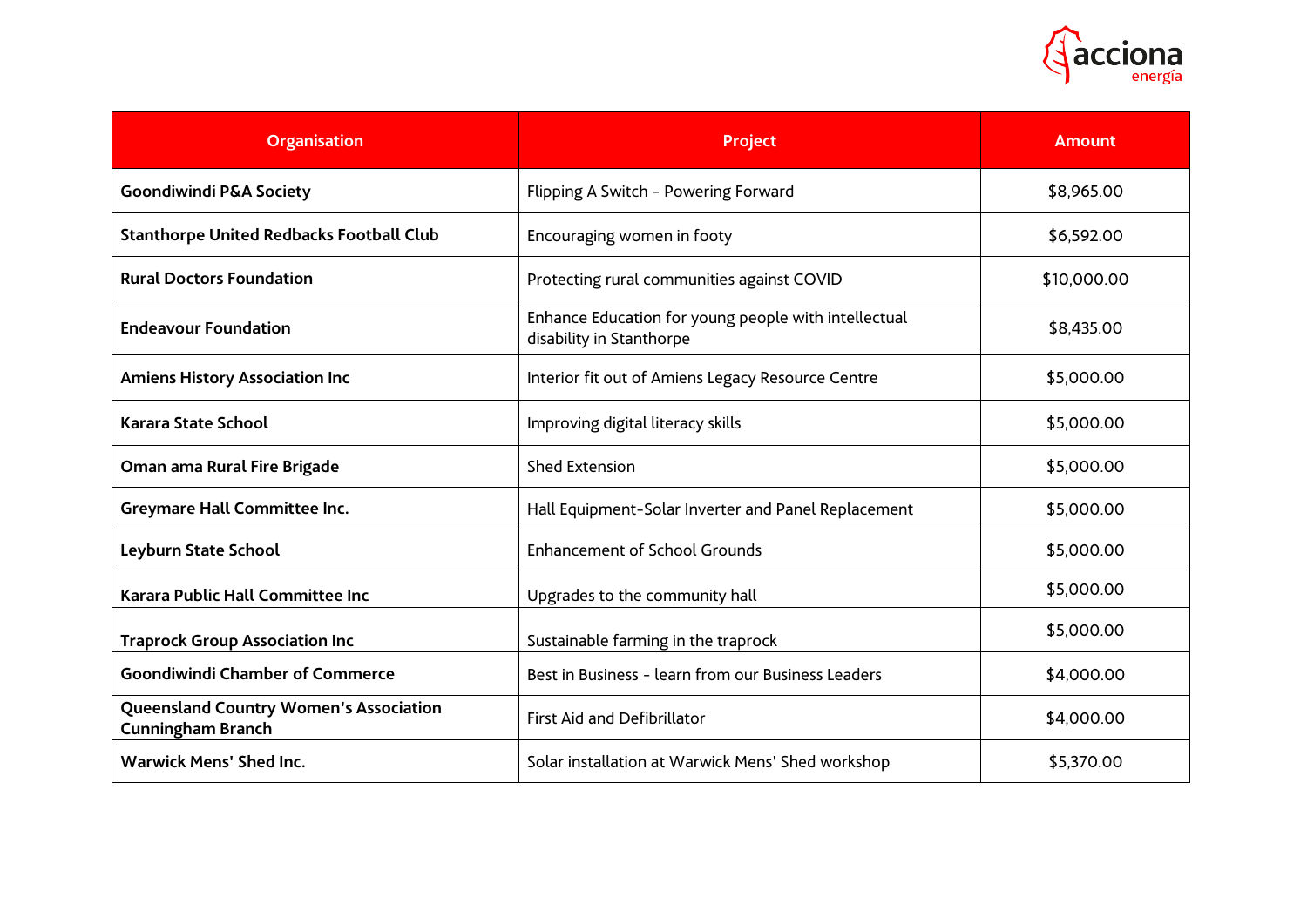

| <b>Organisation</b>                                                       | <b>Project</b>                                                                   | <b>Amount</b> |
|---------------------------------------------------------------------------|----------------------------------------------------------------------------------|---------------|
| <b>Goondiwindi P&amp;A Society</b>                                        | Flipping A Switch - Powering Forward                                             | \$8,965.00    |
| <b>Stanthorpe United Redbacks Football Club</b>                           | Encouraging women in footy                                                       | \$6,592.00    |
| <b>Rural Doctors Foundation</b>                                           | Protecting rural communities against COVID                                       | \$10,000.00   |
| <b>Endeavour Foundation</b>                                               | Enhance Education for young people with intellectual<br>disability in Stanthorpe | \$8,435.00    |
| <b>Amiens History Association Inc</b>                                     | Interior fit out of Amiens Legacy Resource Centre                                | \$5,000.00    |
| <b>Karara State School</b>                                                | Improving digital literacy skills                                                | \$5,000.00    |
| Oman ama Rural Fire Brigade                                               | <b>Shed Extension</b>                                                            | \$5,000.00    |
| <b>Greymare Hall Committee Inc.</b>                                       | Hall Equipment-Solar Inverter and Panel Replacement                              | \$5,000.00    |
| Leyburn State School                                                      | <b>Enhancement of School Grounds</b>                                             | \$5,000.00    |
| Karara Public Hall Committee Inc                                          | Upgrades to the community hall                                                   | \$5,000.00    |
| <b>Traprock Group Association Inc</b>                                     | Sustainable farming in the traprock                                              | \$5,000.00    |
| <b>Goondiwindi Chamber of Commerce</b>                                    | Best in Business - learn from our Business Leaders                               | \$4,000.00    |
| <b>Queensland Country Women's Association</b><br><b>Cunningham Branch</b> | <b>First Aid and Defibrillator</b>                                               | \$4,000.00    |
| <b>Warwick Mens' Shed Inc.</b>                                            | Solar installation at Warwick Mens' Shed workshop                                | \$5,370.00    |